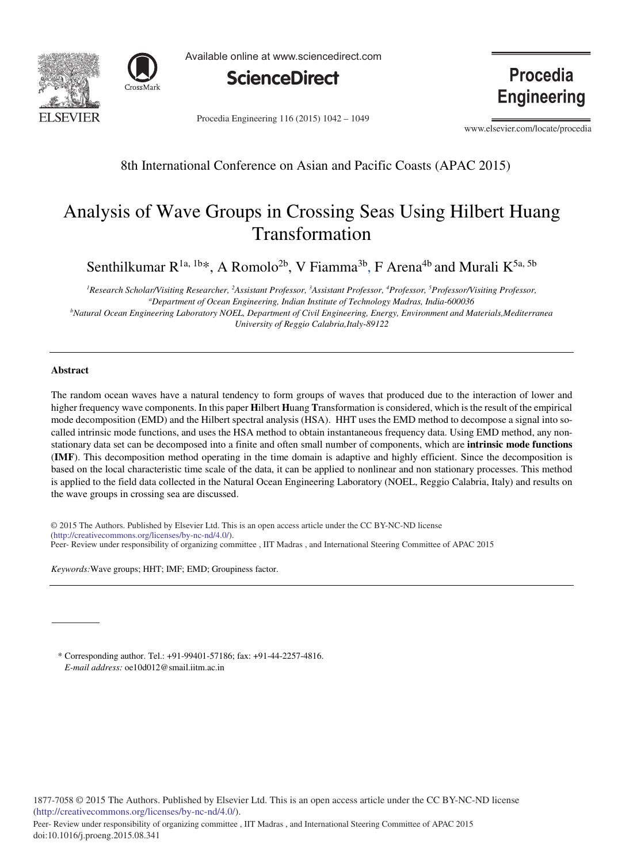



Available online at www.sciencedirect.com



Procedia Engineering 116 (2015) 1042 - 1049

**Procedia Engineering** 

www.elsevier.com/locate/procedia

8th International Conference on Asian and Pacific Coasts (APAC 2015)

# Analysis of Wave Groups in Crossing Seas Using Hilbert Huang Transformation

Senthilkumar  $R^{1a, 1b*}$ , A Romolo<sup>2b</sup>, V Fiamma<sup>3b</sup>, F Arena<sup>4b</sup> and Murali K<sup>5a, 5b</sup>

*1 Research Scholar/Visiting Researcher, <sup>2</sup> Assistant Professor, <sup>3</sup> Assistant Professor, <sup>4</sup> Professor, <sup>5</sup> Professor/Visiting Professor, a Department of Ocean Engineering, Indian Institute of Technology Madras, India-600036 b Natural Ocean Engineering Laboratory NOEL, Department of Civil Engineering, Energy, Environment and Materials,Mediterranea University of Reggio Calabria,Italy-89122*

# **Abstract**

The random ocean waves have a natural tendency to form groups of waves that produced due to the interaction of lower and higher frequency wave components. In this paper **H**ilbert **H**uang **T**ransformation is considered, which is the result of the empirical mode decomposition (EMD) and the Hilbert spectral analysis (HSA). HHT uses the EMD method to decompose a signal into socalled intrinsic mode functions, and uses the HSA method to obtain instantaneous frequency data. Using EMD method, any nonstationary data set can be decomposed into a finite and often small number of components, which are **intrinsic mode functions** (**IMF**). This decomposition method operating in the time domain is adaptive and highly efficient. Since the decomposition is based on the local characteristic time scale of the data, it can be applied to nonlinear and non stationary processes. This method is applied to the field data collected in the Natural Ocean Engineering Laboratory (NOEL, Reggio Calabria, Italy) and results on the wave groups in crossing sea are discussed.

© 2014 The Authors. Published by Elsevier B.V. (http://creativecommons.org/licenses/by-nc-nd/4.0/). Peer- Review under responsibility of organizing committee, IIT Madras, and International Steering Committee of APAC 2015 © 2015 The Authors. Published by Elsevier Ltd. This is an open access article under the CC BY-NC-ND license

*Keywords:*Wave groups; HHT; IMF; EMD; Groupiness factor.

\* Corresponding author. Tel.: +91-99401-57186; fax: +91-44-2257-4816. *E-mail address:* oe10d012@smail.iitm.ac.in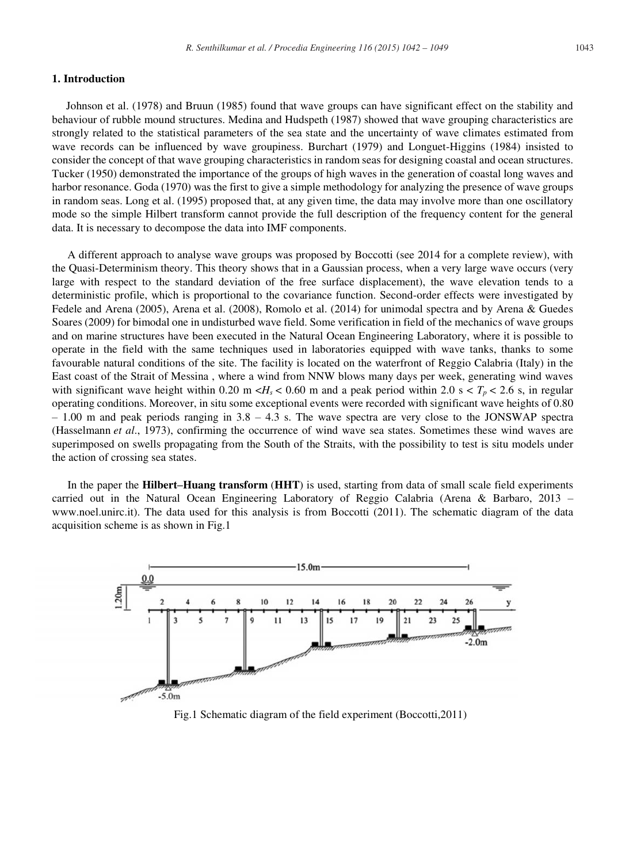# **1. Introduction**

Johnson et al. (1978) and Bruun (1985) found that wave groups can have significant effect on the stability and behaviour of rubble mound structures. Medina and Hudspeth (1987) showed that wave grouping characteristics are strongly related to the statistical parameters of the sea state and the uncertainty of wave climates estimated from wave records can be influenced by wave groupiness. Burchart (1979) and Longuet-Higgins (1984) insisted to consider the concept of that wave grouping characteristics in random seas for designing coastal and ocean structures. Tucker (1950) demonstrated the importance of the groups of high waves in the generation of coastal long waves and harbor resonance. Goda (1970) was the first to give a simple methodology for analyzing the presence of wave groups in random seas. Long et al. (1995) proposed that, at any given time, the data may involve more than one oscillatory mode so the simple Hilbert transform cannot provide the full description of the frequency content for the general data. It is necessary to decompose the data into IMF components.

A different approach to analyse wave groups was proposed by Boccotti (see 2014 for a complete review), with the Quasi-Determinism theory. This theory shows that in a Gaussian process, when a very large wave occurs (very large with respect to the standard deviation of the free surface displacement), the wave elevation tends to a deterministic profile, which is proportional to the covariance function. Second-order effects were investigated by Fedele and Arena (2005), Arena et al. (2008), Romolo et al. (2014) for unimodal spectra and by Arena & Guedes Soares (2009) for bimodal one in undisturbed wave field. Some verification in field of the mechanics of wave groups and on marine structures have been executed in the Natural Ocean Engineering Laboratory, where it is possible to operate in the field with the same techniques used in laboratories equipped with wave tanks, thanks to some favourable natural conditions of the site. The facility is located on the waterfront of Reggio Calabria (Italy) in the East coast of the Strait of Messina , where a wind from NNW blows many days per week, generating wind waves with significant wave height within 0.20 m  $\langle H_s \rangle$  = 0.60 m and a peak period within 2.0 s  $\langle T_p \rangle$  = 2.6 s, in regular operating conditions. Moreover, in situ some exceptional events were recorded with significant wave heights of 0.80  $-1.00$  m and peak periods ranging in  $3.8 - 4.3$  s. The wave spectra are very close to the JONSWAP spectra (Hasselmann *et al*., 1973), confirming the occurrence of wind wave sea states. Sometimes these wind waves are superimposed on swells propagating from the South of the Straits, with the possibility to test is situ models under the action of crossing sea states.

In the paper the **Hilbert–Huang transform** (**HHT**) is used, starting from data of small scale field experiments carried out in the Natural Ocean Engineering Laboratory of Reggio Calabria (Arena & Barbaro, 2013 – www.noel.unirc.it). The data used for this analysis is from Boccotti (2011). The schematic diagram of the data acquisition scheme is as shown in Fig.1



Fig.1 Schematic diagram of the field experiment (Boccotti,2011)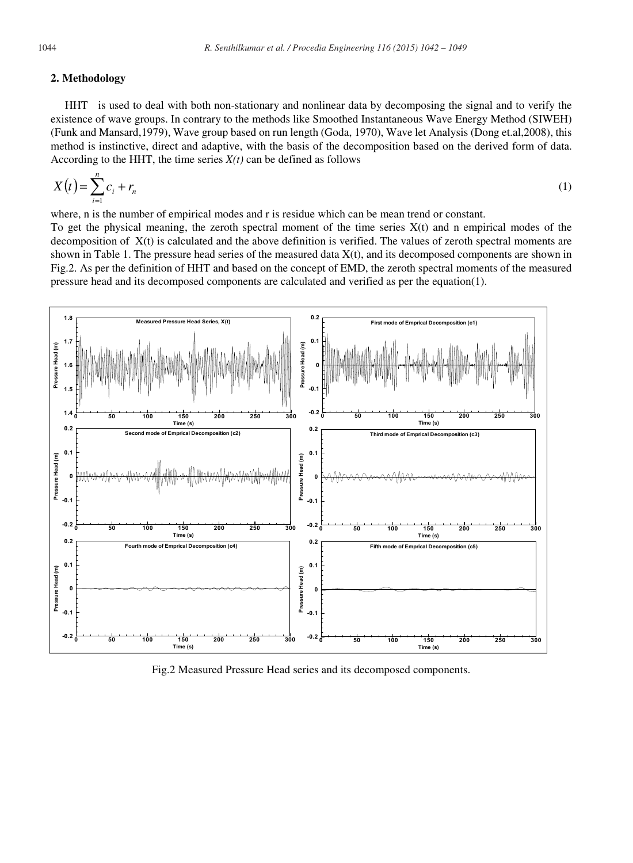#### **2. Methodology**

HHT is used to deal with both non-stationary and nonlinear data by decomposing the signal and to verify the existence of wave groups. In contrary to the methods like Smoothed Instantaneous Wave Energy Method (SIWEH) (Funk and Mansard,1979), Wave group based on run length (Goda, 1970), Wave let Analysis (Dong et.al,2008), this method is instinctive, direct and adaptive, with the basis of the decomposition based on the derived form of data. According to the HHT, the time series  $X(t)$  can be defined as follows

$$
X(t) = \sum_{i=1}^{n} c_i + r_n
$$
 (1)

where, n is the number of empirical modes and r is residue which can be mean trend or constant.

To get the physical meaning, the zeroth spectral moment of the time series  $X(t)$  and n empirical modes of the decomposition of X(t) is calculated and the above definition is verified. The values of zeroth spectral moments are shown in Table 1. The pressure head series of the measured data  $X(t)$ , and its decomposed components are shown in Fig.2. As per the definition of HHT and based on the concept of EMD, the zeroth spectral moments of the measured pressure head and its decomposed components are calculated and verified as per the equation(1).



Fig.2 Measured Pressure Head series and its decomposed components.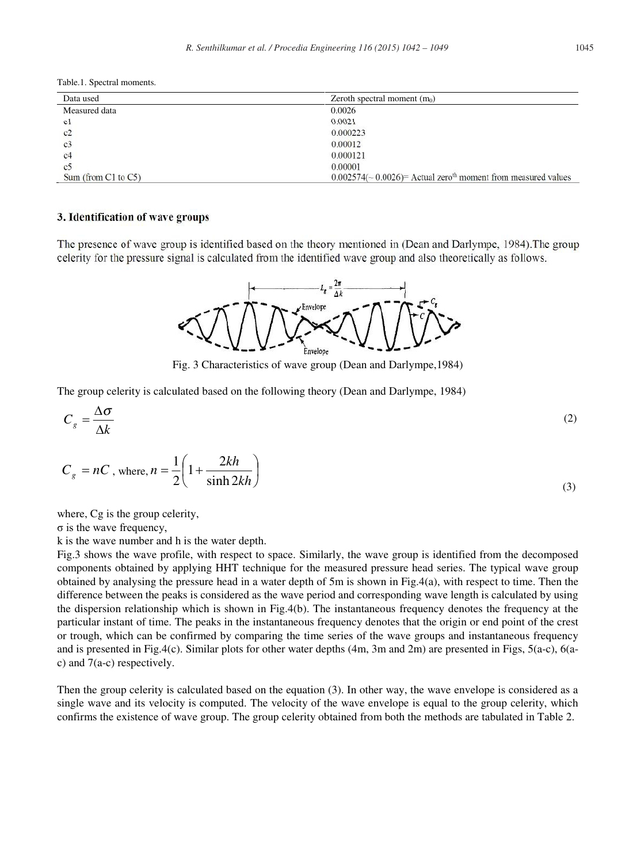Table.1. Spectral moments.

| Data used                | Zeroth spectral moment $(m_0)$                                                |  |
|--------------------------|-------------------------------------------------------------------------------|--|
| Measured data            | 0.0026                                                                        |  |
| c1                       | 0.0021                                                                        |  |
| c2                       | 0.000223                                                                      |  |
| c <sub>3</sub>           | 0.00012                                                                       |  |
| c <sub>4</sub>           | 0.000121                                                                      |  |
| c <sub>5</sub>           | 0.00001                                                                       |  |
| Sum (from $C1$ to $C5$ ) | $0.002574$ (~ 0.0026) = Actual zero <sup>th</sup> moment from measured values |  |

### **3. Identification of wave groups**

The presence of wave group is identified based on the theory mentioned in (Dean and Darlympe, 1984).The group celerity for the pressure signal is calculated from the identified wave group and also theoretically as follows.



Fig. 3 Characteristics of wave group (Dean and Darlympe,1984)

The group celerity is calculated based on the following theory (Dean and Darlympe, 1984)

$$
C_g = \frac{\Delta \sigma}{\Delta k} \tag{2}
$$

$$
C_g = nC, \text{ where, } n = \frac{1}{2} \left( 1 + \frac{2kh}{\sinh 2kh} \right)
$$
 (3)

where, Cg is the group celerity,

σ is the wave frequency,

k is the wave number and h is the water depth.

Fig.3 shows the wave profile, with respect to space. Similarly, the wave group is identified from the decomposed components obtained by applying HHT technique for the measured pressure head series. The typical wave group obtained by analysing the pressure head in a water depth of 5m is shown in Fig.4(a), with respect to time. Then the difference between the peaks is considered as the wave period and corresponding wave length is calculated by using the dispersion relationship which is shown in Fig.4(b). The instantaneous frequency denotes the frequency at the particular instant of time. The peaks in the instantaneous frequency denotes that the origin or end point of the crest or trough, which can be confirmed by comparing the time series of the wave groups and instantaneous frequency and is presented in Fig.4(c). Similar plots for other water depths (4m, 3m and 2m) are presented in Figs, 5(a-c), 6(ac) and 7(a-c) respectively.

Then the group celerity is calculated based on the equation (3). In other way, the wave envelope is considered as a single wave and its velocity is computed. The velocity of the wave envelope is equal to the group celerity, which confirms the existence of wave group. The group celerity obtained from both the methods are tabulated in Table 2.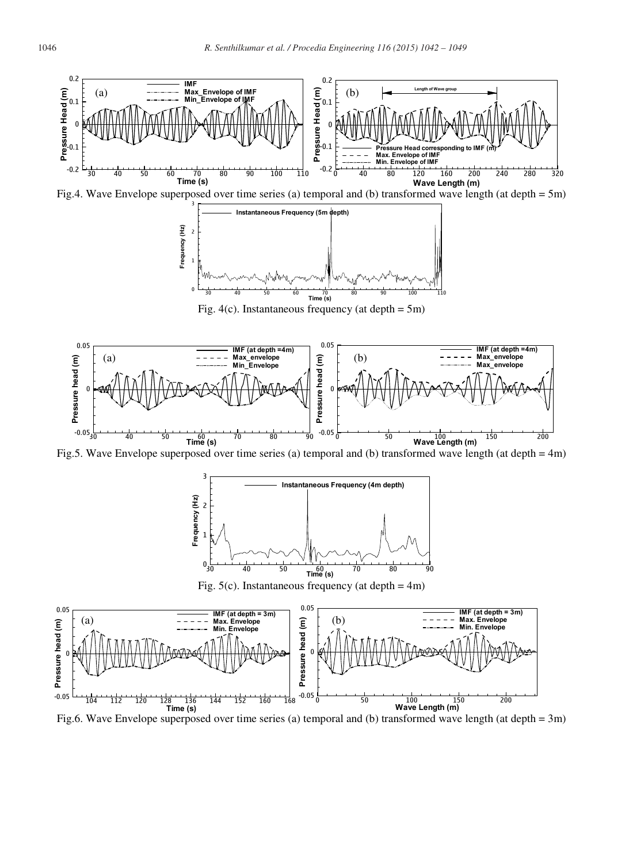

Fig.6. Wave Envelope superposed over time series (a) temporal and (b) transformed wave length (at depth = 3m)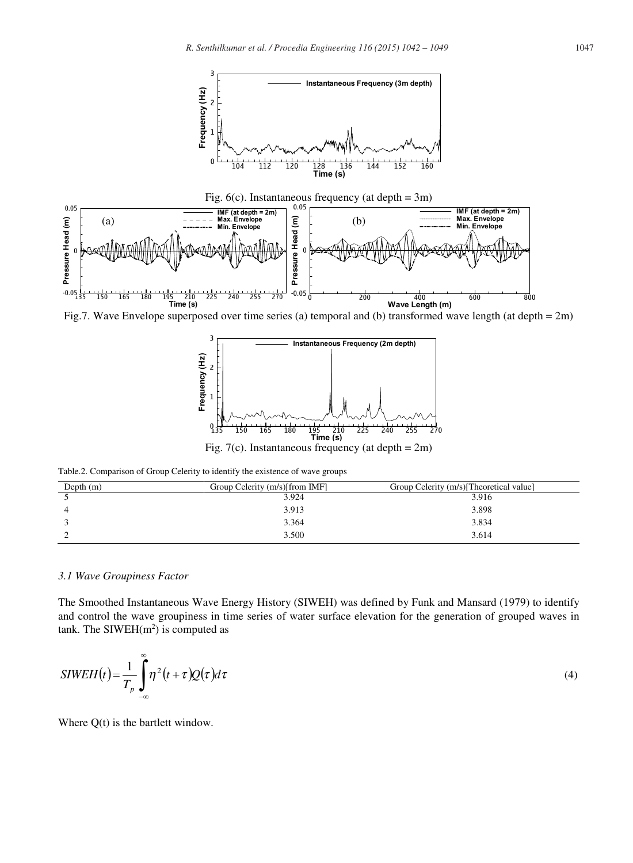



Table.2. Comparison of Group Celerity to identify the existence of wave groups

| Depth $(m)$ | Group Celerity (m/s)[from IMF] | Group Celerity (m/s) [Theoretical value] |
|-------------|--------------------------------|------------------------------------------|
|             | 3.924                          | 3.916                                    |
|             | 3.913                          | 3.898                                    |
|             | 3.364                          | 3.834                                    |
|             | 3.500                          | 3.614                                    |

# *3.1 Wave Groupiness Factor*

The Smoothed Instantaneous Wave Energy History (SIWEH) was defined by Funk and Mansard (1979) to identify and control the wave groupiness in time series of water surface elevation for the generation of grouped waves in tank. The SIWEH $(m<sup>2</sup>)$  is computed as

$$
SIWEH(t) = \frac{1}{T_p} \int_{-\infty}^{\infty} \eta^2(t+\tau) Q(\tau) d\tau
$$
\n(4)

Where  $Q(t)$  is the bartlett window.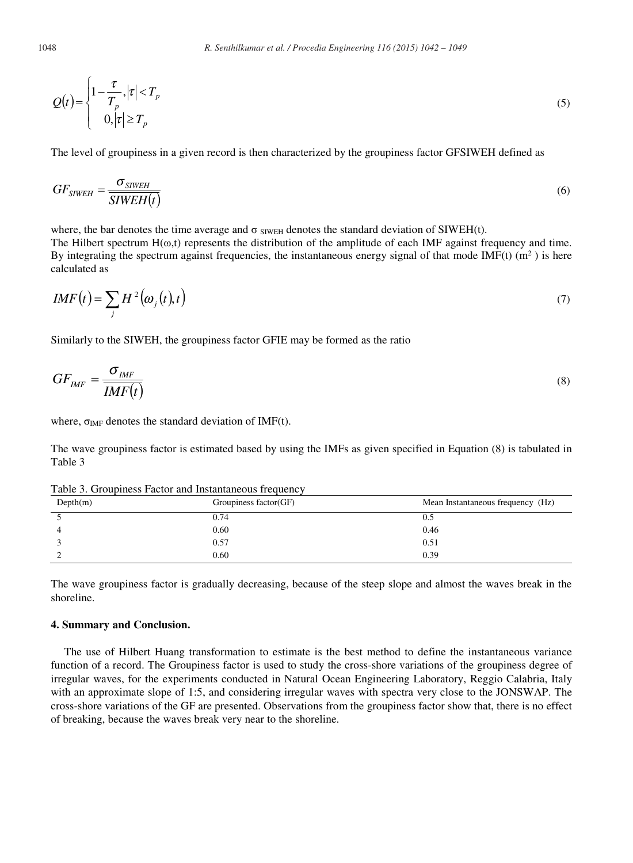$$
Q(t) = \begin{cases} 1 - \frac{\tau}{T_p}, |\tau| < T_p \\ 0, |\tau| \ge T_p \end{cases} \tag{5}
$$

The level of groupiness in a given record is then characterized by the groupiness factor GFSIWEH defined as

$$
GF_{SIWEH} = \frac{\sigma_{SWEH}}{SIWEH(t)}
$$
(6)

where, the bar denotes the time average and  $\sigma$  simulations the standard deviation of SIWEH(t).

The Hilbert spectrum  $H(\omega,t)$  represents the distribution of the amplitude of each IMF against frequency and time. By integrating the spectrum against frequencies, the instantaneous energy signal of that mode IMF(t)  $(m<sup>2</sup>)$  is here calculated as

$$
IMF(t) = \sum_{j} H^{2}(\omega_{j}(t), t)
$$
\n(7)

Similarly to the SIWEH, the groupiness factor GFIE may be formed as the ratio

$$
GF_{IMF} = \frac{\sigma_{IMF}}{IMF(t)}
$$
\n(8)

where,  $\sigma_{IMF}$  denotes the standard deviation of IMF(t).

The wave groupiness factor is estimated based by using the IMFs as given specified in Equation (8) is tabulated in Table 3

Depth(m) Groupiness factor(GF) Mean Instantaneous frequency (Hz)  $5 \t\t 0.74$  0.5 4 0.60 0.46 3 0.57 0.51 2 0.60 0.39

Table 3. Groupiness Factor and Instantaneous frequency

The wave groupiness factor is gradually decreasing, because of the steep slope and almost the waves break in the shoreline.

# **4. Summary and Conclusion.**

The use of Hilbert Huang transformation to estimate is the best method to define the instantaneous variance function of a record. The Groupiness factor is used to study the cross-shore variations of the groupiness degree of irregular waves, for the experiments conducted in Natural Ocean Engineering Laboratory, Reggio Calabria, Italy with an approximate slope of 1:5, and considering irregular waves with spectra very close to the JONSWAP. The cross-shore variations of the GF are presented. Observations from the groupiness factor show that, there is no effect of breaking, because the waves break very near to the shoreline.